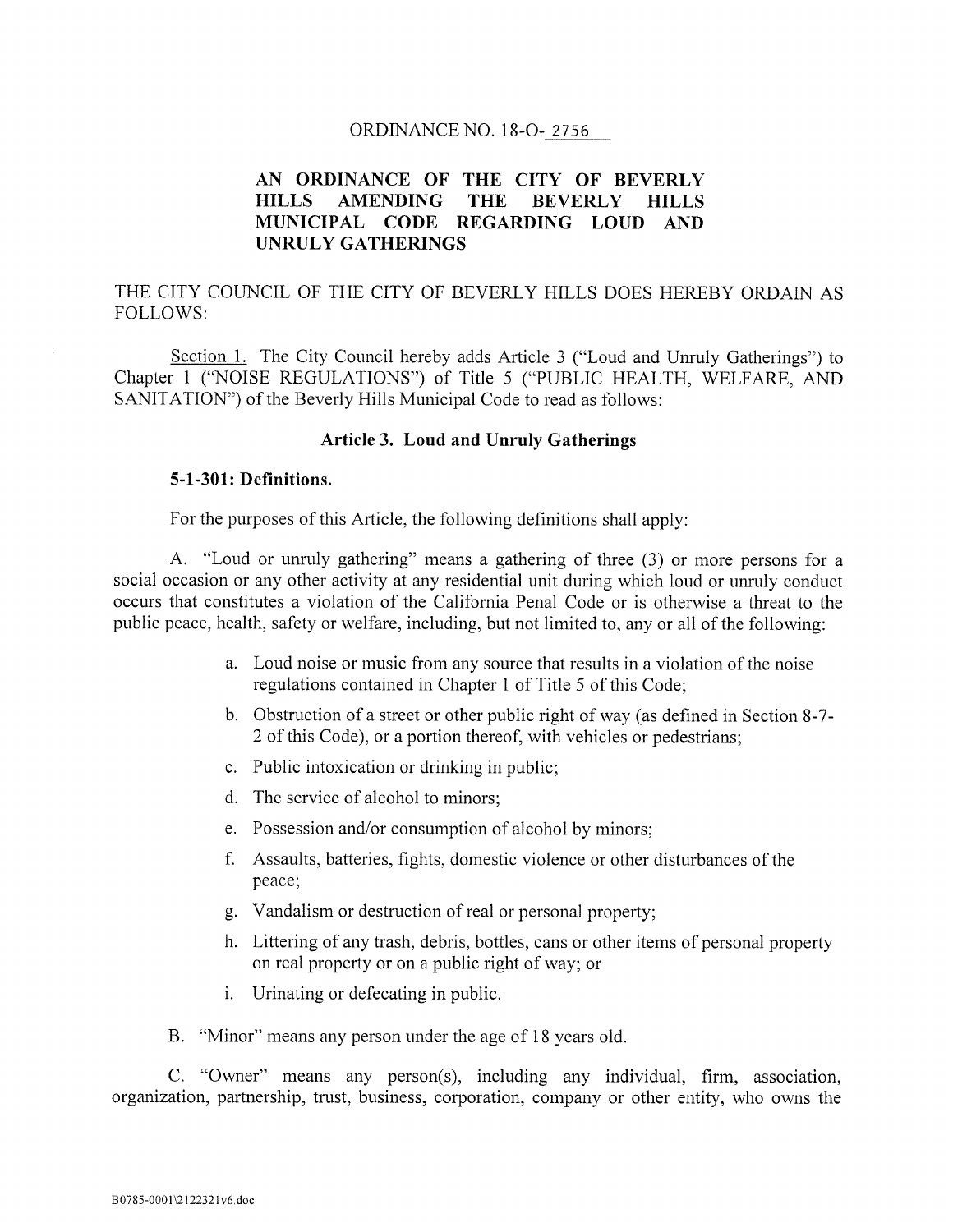### ORDINANCE NO. 18-0- 2756

# AN ORDINANCE OF THE CITY OF BEVERLY HILLS AMENDING THE BEVERLY HILLS MUNICIPAL CODE REGARDING LOUD AND UNRULY GATHERINGS

# THE CITY COUNCIL Of THE CITY Of BEVERLY HILLS DOES HEREBY ORDAIN AS FOLLOWS:

Section 1. The City Council hereby adds Article <sup>3</sup> ("Loud and Unruly Gatherings") to Chapter <sup>1</sup> ("NOISE REGULATIONS") of Title <sup>5</sup> ("PUBLIC HEALTH, WELFARE, AND SANITATION") of the Beverly Hills Municipal Code to read as follows:

#### Article 3. Loud and Unruly Gatherings

#### 5-1-301: Definitions.

For the purposes of this Article, the following definitions shall apply:

A. "Loud or unruly gathering" means a gathering of three (3) or more persons for a social occasion or any other activity at any residential unit during which loud or unruly conduct occurs that constitutes a violation of the California Penal Code or is otherwise a threat to the public peace, health, safety or welfare, including, but not limited to, any or all of the following:

- a. Loud noise or music from any source that results in a violation of the noise regulations contained in Chapter <sup>1</sup> of Title <sup>5</sup> of this Code;
- b. Obstruction of a street or other public right of way (as defined in Section 8-7- <sup>2</sup> of this Code), or a portion thereof, with vehicles or pedestrians;
- c. Public intoxication or drinking in public;
- d. The service of alcohol to minors;
- e. Possession and/or consumption of alcohol by minors;
- f. Assaults, batteries, fights, domestic violence or other disturbances of the peace;
- g. Vandalism or destruction of real or personal property;
- h. Littering of any trash, debris, bottles, cans or other items of personal property on real property or on a public right of way; or
- i. Urinating or defecating in public.

B. "Minor" means any person under the age of 18 years old.

C. "Owner" means any person(s), including any individual, firm, association, organization, partnership, trust, business, corporation, company or other entity, who owns the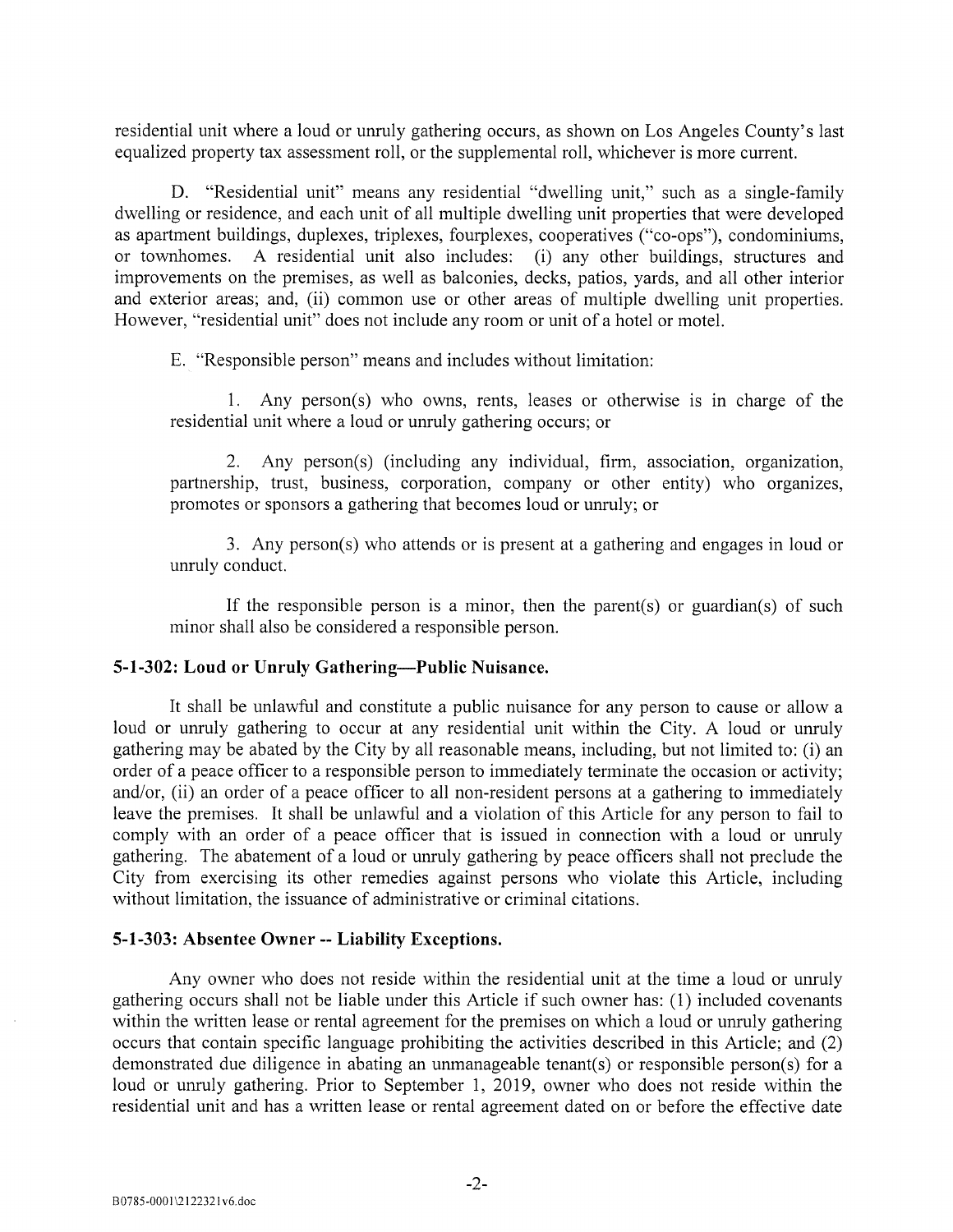residential unit where a loud or unruly gathering occurs, as shown on Los Angeles County's last equalized property tax assessment roll, or the supplemental roll, whichever is more current.

D. "Residential unit" means any residential "dwelling unit," such as a single-family dwelling or residence, and each unit of all multiple dwelling unit properties that were developed as apartment buildings, duplexes, triplexes, fourplexes, cooperatives ("co-ops"), condominiums, or townhomes. A residential unit also includes: (i) any other buildings, structures and improvements on the premises, as well as balconies, decks, patios, yards, and all other interior and exterior areas; and, (ii) common use or other areas of multiple dwelling unit properties. However, "residential unit" does not include any room or unit of a hotel or motel.

E. "Responsible person" means and includes without limitation:

1. Any person(s) who owns, rents, leases or otherwise is in charge of the residential unit where a loud or unruly gathering occurs; or

2. Any person(s) (including any individual, firm, association, organization, partnership, trust, business, corporation, company or other entity) who organizes, promotes or sponsors a gathering that becomes loud or unruly; or

3. Any person(s) who attends or is present at a gathering and engages in loud or unruly conduct.

If the responsible person is a minor, then the parent(s) or guardian(s) of such minor shall also be considered a responsible person.

#### 5-1-302: Loud or Unruly Gathering—Public Nuisance.

It shall be unlawful and constitute a public nuisance for any person to cause or allow a loud or unruly gathering to occur at any residential unit within the City. A loud or unruly gathering may be abated by the City by all reasonable means, including, but not limited to: (i) an order of a peace officer to a responsible person to immediately terminate the occasion or activity; and/or, (ii) an order of a peace officer to all non-resident persons at a gathering to immediately leave the premises. It shall be unlawful and a violation of this Article for any person to fail to comply with an order of a peace officer that is issued in connection with a loud or unruly gathering. The abatement of a loud or unruly gathering by peace officers shall not preclude the City from exercising its other remedies against persons who violate this Article, including without limitation, the issuance of administrative or criminal citations.

#### 5-1-303: Absentee Owner --Liability Exceptions.

Any owner who does not reside within the residential unit at the time a loud or unruly gathering occurs shall not be liable under this Article if such owner has: (1) included covenants within the written lease or rental agreement for the premises on which a loud or unruly gathering occurs that contain specific language prohibiting the activities described in this Article; and (2) demonstrated due diligence in abating an unmanageable tenant(s) or responsible person(s) for a loud or unruly gathering. Prior to September 1, 2019, owner who does not reside within the residential unit and has a written lease or rental agreement dated on or before the effective date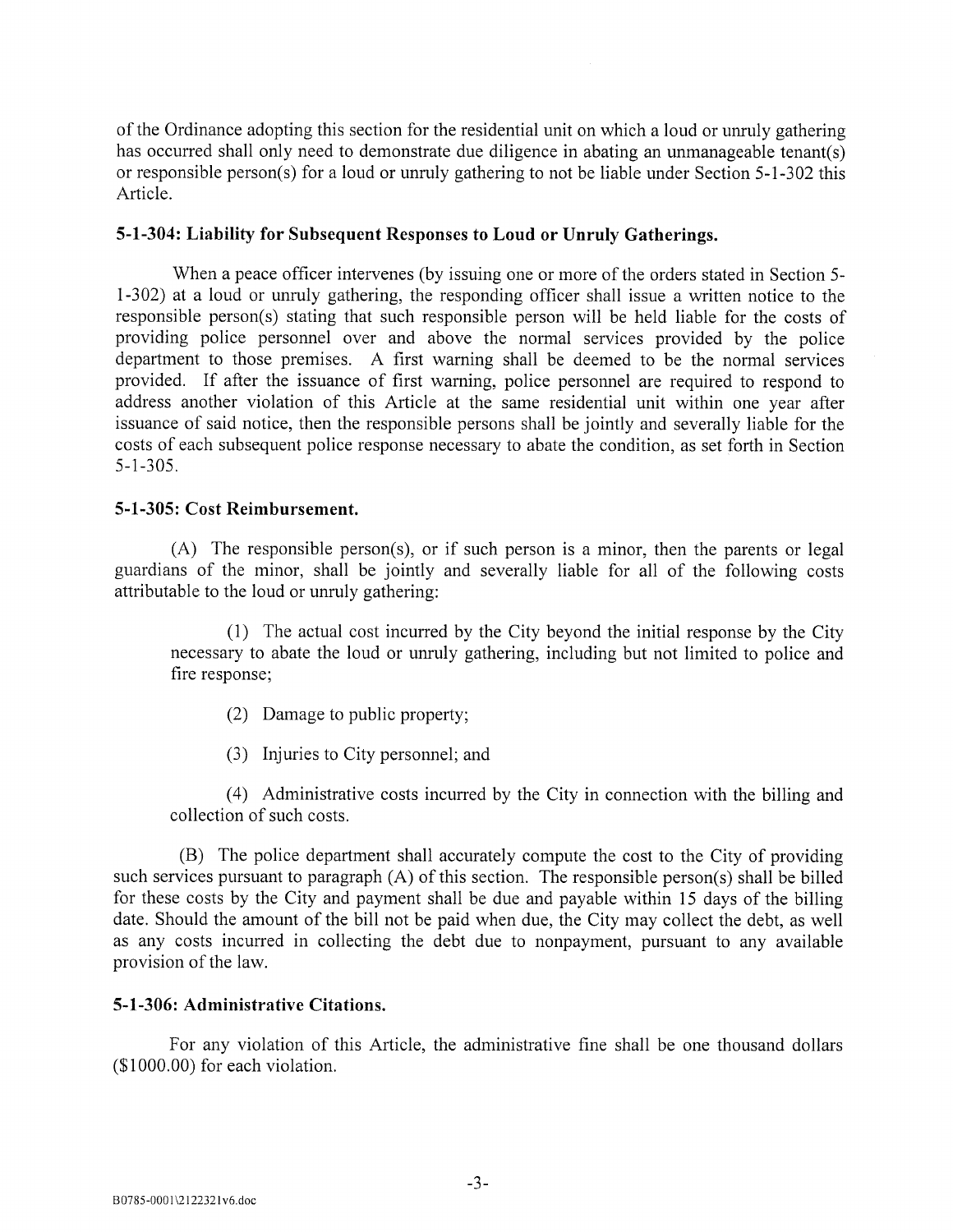of the Ordinance adopting this section for the residential unit on which a loud or unruly gathering has occurred shall only need to demonstrate due diligence in abating an unmanageable tenant(s) or responsible person(s) for a loud or unruly gathering to not be liable under Section 5-1-302 this Article.

### 5-1-304: Liability for Subsequent Responses to Loud or Unruly Gatherings.

When a peace officer intervenes (by issuing one or more of the orders stated in Section 5- 1-302) at a loud or unruly gathering, the responding officer shall issue a written notice to the responsible person(s) stating that such responsible person will be held liable for the costs of providing police personnel over and above the normal services provided by the police department to those premises. A first warning shall be deemed to be the normal services provided. If after the issuance of first warning, police personnel are required to respond to address another violation of this Article at the same residential unit within one year after issuance of said notice, then the responsible persons shall be jointly and severally liable for the costs of each subsequent police response necessary to abate the condition, as set forth in Section 5-1-305.

### 5-1-305: Cost Reimbursement.

(A) The responsible person(s), or if such person is a minor, then the parents or legal guardians of the minor, shall be jointly and severally liable for all of the following costs attributable to the loud or unruly gathering:

(1) The actual cost incurred by the City beyond the initial response by the City necessary to abate the loud or unruly gathering, including but not limited to police and fire response;

- (2) Damage to public property;
- (3) Injuries to City personnel; and

(4) Administrative costs incurred by the City in connection with the billing and collection of such costs.

(B) The police department shall accurately compute the cost to the City of providing such services pursuant to paragraph (A) of this section. The responsible person(s) shall be billed for these costs by the City and payment shall be due and payable within 15 days of the billing date. Should the amount of the bill not be paid when due, the City may collect the debt, as well as any costs incurred in collecting the debt due to nonpayment, pursuant to any available provision of the law.

# 5-1-306: Administrative Citations.

For any violation of this Article, the administrative fine shall be one thousand dollars  $($1000.00)$  for each violation.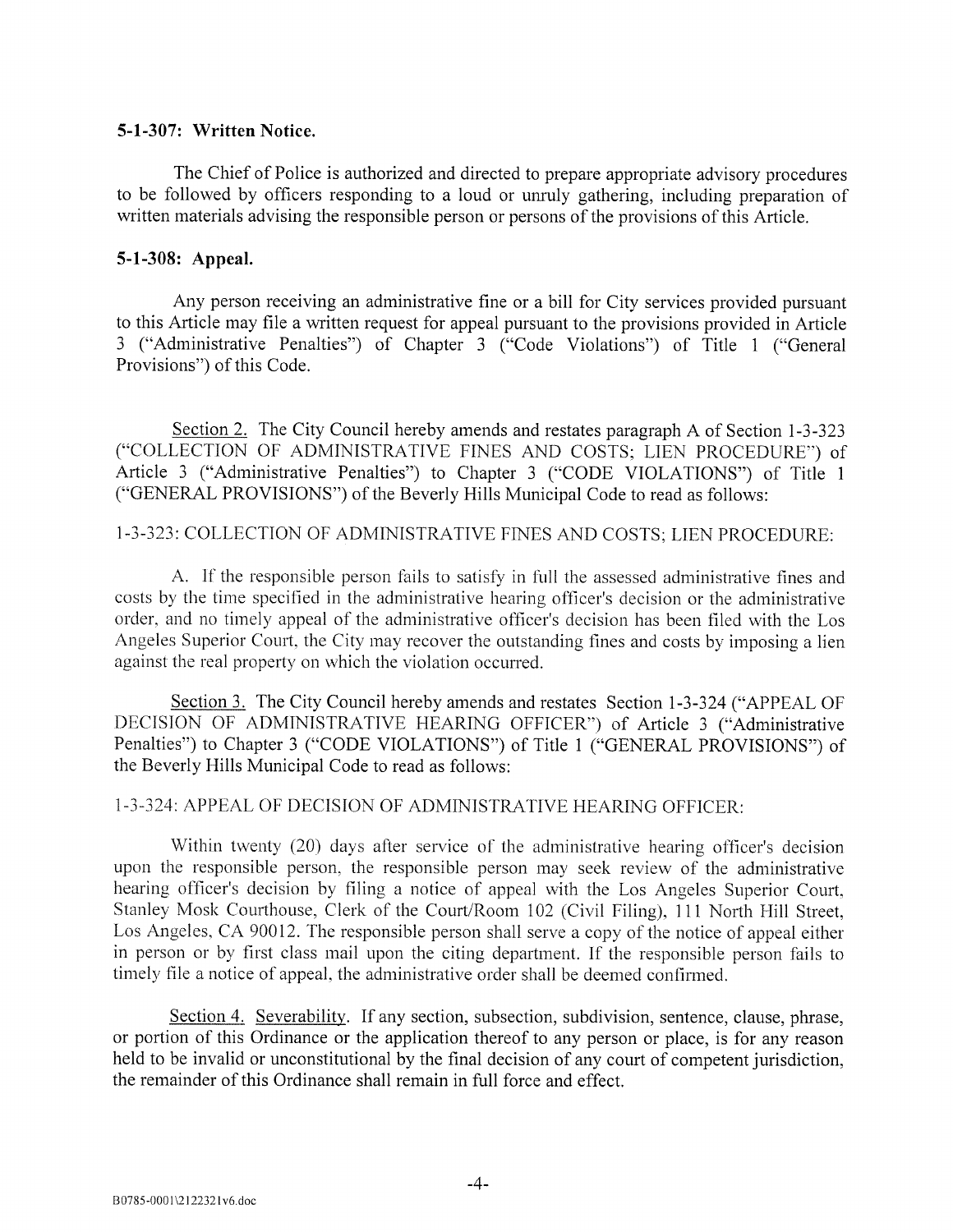### 5-1-307: Written Notice.

The Chief of Police is authorized and directed to prepare appropriate advisory procedures to be followed by officers responding to a loud or unruly gathering, including preparation of written materials advising the responsible person or persons of the provisions of this Article.

# 5-1-308: Appeal.

Any person receiving an administrative fine or a bill for City services provided pursuant to this Article may file a written request for appeal pursuant to the provisions provided in Article <sup>3</sup> ("Administrative Penalties") of Chapter <sup>3</sup> ("Code Violations") of Title <sup>1</sup> ("General Provisions") of this Code.

Section 2. The City Council hereby amends and restates paragraph A of Section 1-3-323 ("COLLECTION OF ADMINISTRATIVE FINES AND COSTS; LIEN PROCEDURE") of Article <sup>3</sup> ("Administrative Penalties") to Chapter <sup>3</sup> ("CODE VIOLATIONS") of Title <sup>1</sup> ("GENERAL PROVISIONS") of the Beverly Hills Municipal Code to read as follows:

# 1-3-323: COLLECTION OF ADMINISTRATIVE FINES AND COSTS; LIEN PROCEDURE:

A. If the responsible person fails to satisfy in full the assessed administrative fines and costs by the time specified in the administrative hearing officer's decision or the administrative order, and no timely appeal of the administrative officer's decision has been filed with the Los Angeles Superior Court. the City may recover the outstanding fines and costs by imposing a lien against the real property on \vhich the violation occurred.

Section 3. The City Council hereby amends and restates Section 1-3-324 ("APPEAL OF DECISION Of ADMINISTRATIVE HEARING OfFICER") of Article <sup>3</sup> ("Administrative Penalties") to Chapter <sup>3</sup> ("CODE VIOLATIONS") of Title <sup>1</sup> ("GENERAL PROVISIONS") of the Beverly Hills Municipal Code to read as follows:

# 1-3-324: APPEAL OF DECISION Of ADMINISTRATIVE HEARING OFFICER:

Within twenty (20) days after service of the administrative hearing officer's decision upon the responsible person. the responsible person may seek review of the administrative hearing officer's decision by filing a notice of appeal with the Los Angeles Superior Court, Stanley Mosk Courthouse. Clerk of the Court/Room 102 (Civil Filing). 111 North Hill Street, Los Angeles. CA 90012. The responsible person shall serve a copy of the notice of appeal either in person or by first class mail upon the citing department. If the responsible person fails to timely file a notice of appeal. the administrative order shall be deemed confirmed.

Section 4. Severability. If any section, subsection, subdivision, sentence, clause, phrase, or portion of this Ordinance or the application thereof to any person or place, is for any reason held to be invalid or unconstitutional by the final decision of any court of competent jurisdiction, the remainder of this Ordinance shall remain in full force and effect.